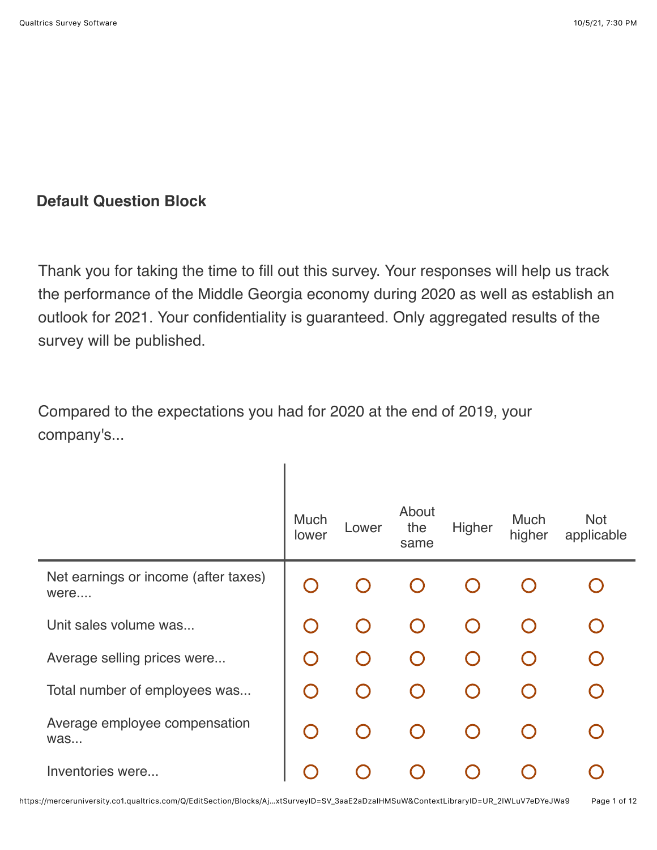## **Default Question Block**

Thank you for taking the time to fill out this survey. Your responses will help us track the performance of the Middle Georgia economy during 2020 as well as establish an outlook for 2021. Your confidentiality is guaranteed. Only aggregated results of the survey will be published.

Compared to the expectations you had for 2020 at the end of 2019, your company's...

|                                              | Much<br>lower | Lower | About<br>the<br>same | Higher | Much<br>higher | <b>Not</b><br>applicable |
|----------------------------------------------|---------------|-------|----------------------|--------|----------------|--------------------------|
| Net earnings or income (after taxes)<br>were |               |       |                      |        |                |                          |
| Unit sales volume was                        | $\bigcap$     |       |                      |        |                |                          |
| Average selling prices were                  |               |       |                      |        |                |                          |
| Total number of employees was                |               |       |                      |        |                |                          |
| Average employee compensation<br>was         |               |       |                      |        |                |                          |
| Inventories were                             |               |       |                      |        |                |                          |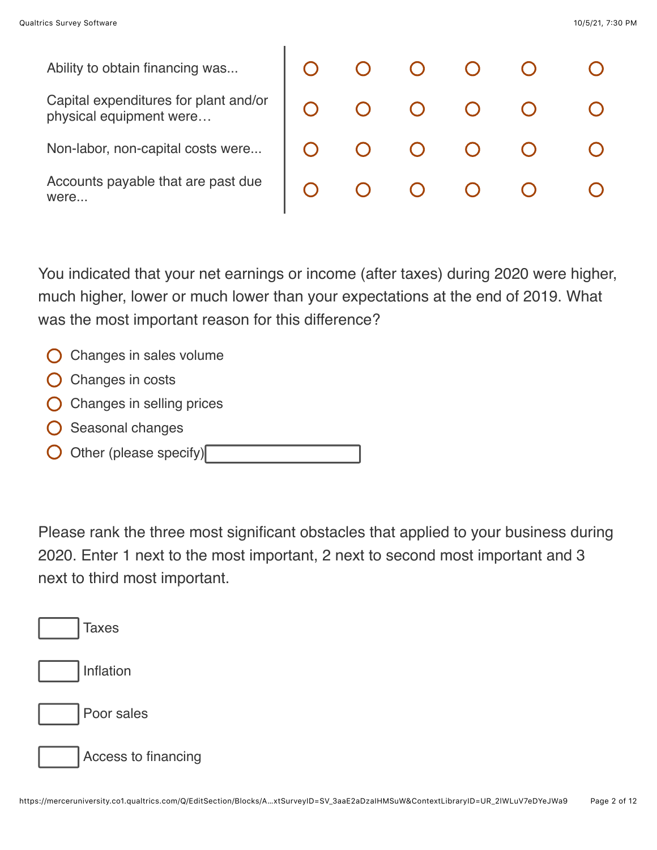were...

Ability to obtain financing was... Capital expenditures for plant and/or physical equipment were… Non-labor, non-capital costs were... Accounts payable that are past due

|  |  | 0 0 0 0 0 0 |  |
|--|--|-------------|--|
|  |  | 0 0 0 0 0 0 |  |
|  |  | 0 0 0 0 0 0 |  |
|  |  | 0 0 0 0 0 0 |  |

You indicated that your net earnings or income (after taxes) during 2020 were higher, much higher, lower or much lower than your expectations at the end of 2019. What was the most important reason for this difference?

- $\bigcirc$  Changes in sales volume
- $\bigcirc$  Changes in costs
- Changes in selling prices
- Seasonal changes
- Other (please specify)

Please rank the three most significant obstacles that applied to your business during 2020. Enter 1 next to the most important, 2 next to second most important and 3 next to third most important.

| <b>Taxes</b>        |
|---------------------|
| Inflation           |
| Poor sales          |
| Access to financing |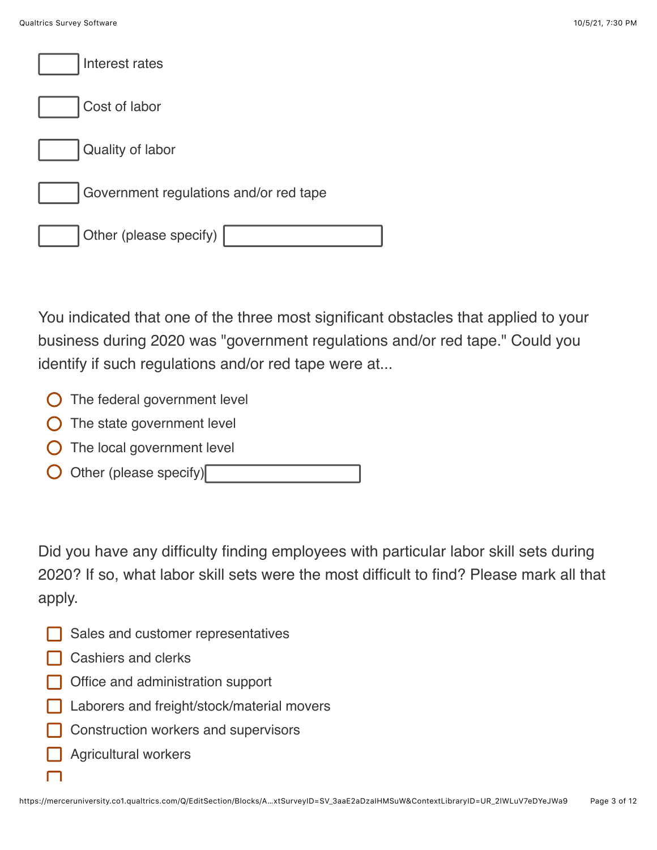| Interest rates                         |
|----------------------------------------|
| Cost of labor                          |
| Quality of labor                       |
| Government regulations and/or red tape |
| Other (please specify)                 |

You indicated that one of the three most significant obstacles that applied to your business during 2020 was "government regulations and/or red tape." Could you identify if such regulations and/or red tape were at...

- **O** The federal government level
- $\bigcirc$  The state government level
- $\bigcirc$  The local government level
- Other (please specify)

Did you have any difficulty finding employees with particular labor skill sets during 2020? If so, what labor skill sets were the most difficult to find? Please mark all that apply.

- Sales and customer representatives
- **□** Cashiers and clerks
- **Office and administration support**
- Laborers and freight/stock/material movers
- Construction workers and supervisors
- Agricultural workers

 $\Box$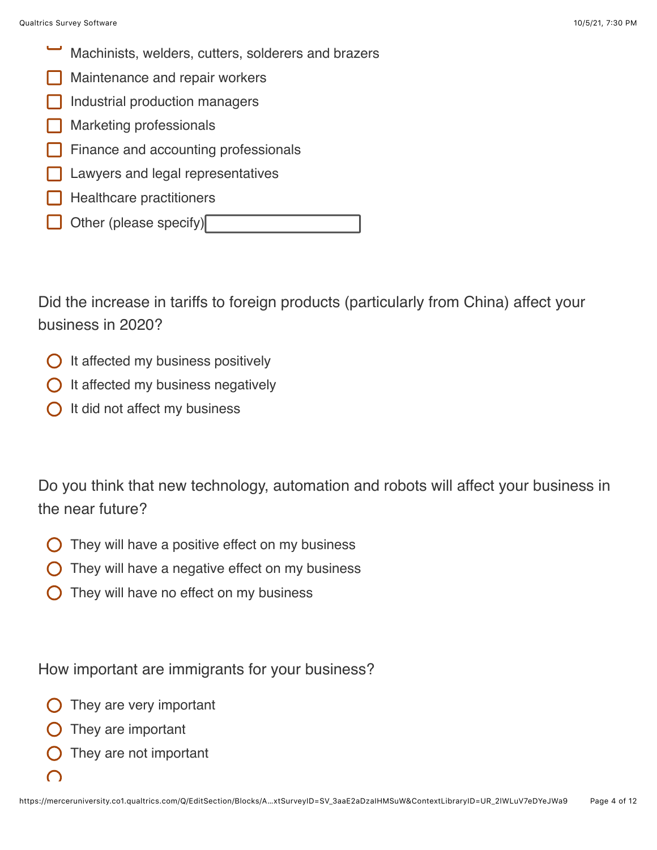- Machinists, welders, cutters, solderers and brazers
- Maintenance and repair workers
- Industrial production managers
- Marketing professionals
- Finance and accounting professionals
- Lawyers and legal representatives
- Healthcare practitioners
- Other (please specify)

Did the increase in tariffs to foreign products (particularly from China) affect your business in 2020?

- $\bigcirc$  It affected my business positively
- $\bigcirc$  It affected my business negatively
- $\bigcap$  It did not affect my business

Do you think that new technology, automation and robots will affect your business in the near future?

- They will have a positive effect on my business
- They will have a negative effect on my business
- They will have no effect on my business

How important are immigrants for your business?

- They are very important
- They are important
- They are not important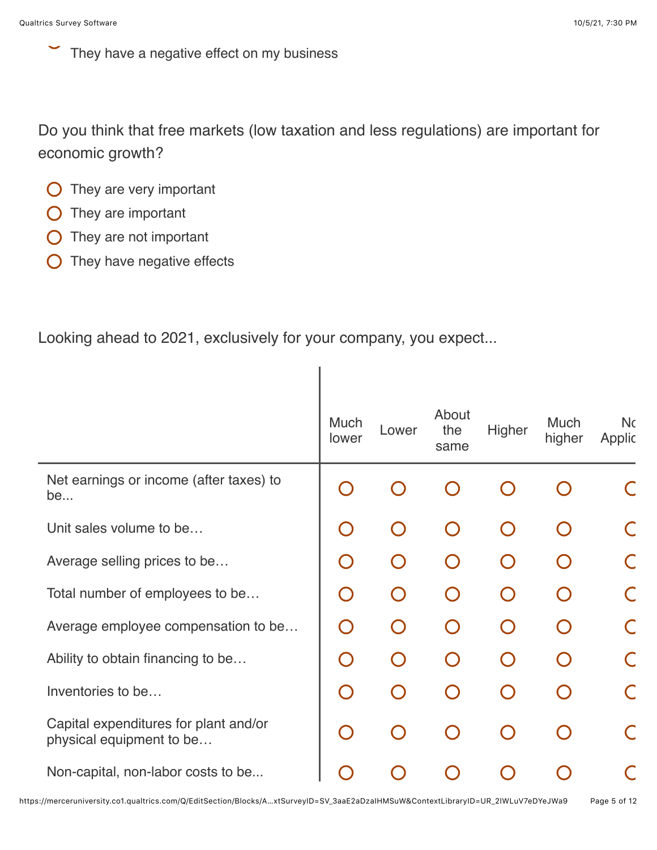They have a negative effect on my business

Do you think that free markets (low taxation and less regulations) are important for economic growth?

I

- $\bigcirc$  They are very important
- $\bigcirc$  They are important
- **O** They are not important
- $\bigcirc$  They have negative effects

Looking ahead to 2021, exclusively for your company, you expect...

|                                                                   | <b>Much</b><br>lower | Lower | About<br>the<br>same | Higher    | <b>Much</b><br>higher | <b>Nc</b><br>Applic |
|-------------------------------------------------------------------|----------------------|-------|----------------------|-----------|-----------------------|---------------------|
| Net earnings or income (after taxes) to<br>be                     |                      |       |                      |           |                       |                     |
| Unit sales volume to be                                           |                      |       |                      | $\bigcap$ |                       |                     |
| Average selling prices to be                                      | $\bigcap$            |       |                      |           |                       |                     |
| Total number of employees to be                                   | $\bigcap$            |       |                      | $\bigcap$ |                       |                     |
| Average employee compensation to be                               | $\bigcap$            |       |                      | $\bigcap$ |                       |                     |
| Ability to obtain financing to be                                 | $\bigcap$            |       |                      | $\bigcap$ |                       |                     |
| Inventories to be                                                 | $\bigcap$            |       |                      | $\Box$    |                       |                     |
| Capital expenditures for plant and/or<br>physical equipment to be | $\bigcap$            |       |                      | $\cap$    |                       |                     |
| Non-capital, non-labor costs to be                                |                      |       |                      |           |                       |                     |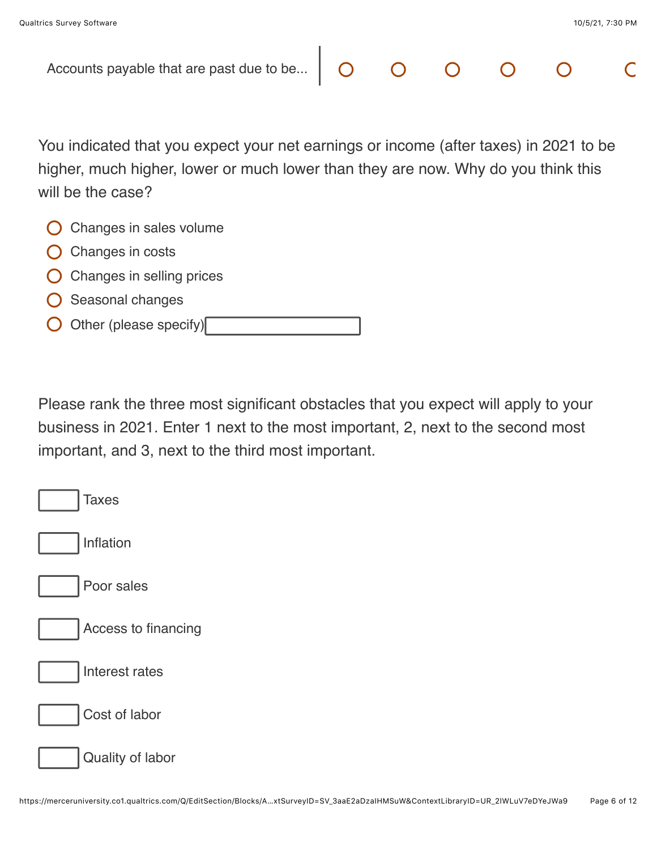| Accounts payable that are past due to be $\vert$                                      |  | $O$ $O$ $O$ |  |  |
|---------------------------------------------------------------------------------------|--|-------------|--|--|
|                                                                                       |  |             |  |  |
| You indicated that you expect your net earnings or income (after taxes) in 2021 to be |  |             |  |  |
| higher, much higher, lower or much lower than they are now. Why do you think this     |  |             |  |  |
| will be the case?                                                                     |  |             |  |  |
| Changes in sales volume                                                               |  |             |  |  |
| Changes in costs                                                                      |  |             |  |  |
| Changes in selling prices                                                             |  |             |  |  |
| Seasonal changes                                                                      |  |             |  |  |
| Other (please specify)                                                                |  |             |  |  |

Please rank the three most significant obstacles that you expect will apply to your business in 2021. Enter 1 next to the most important, 2, next to the second most important, and 3, next to the third most important.

| <b>Taxes</b>        |
|---------------------|
| Inflation           |
| Poor sales          |
| Access to financing |
| Interest rates      |
| Cost of labor       |
| Quality of labor    |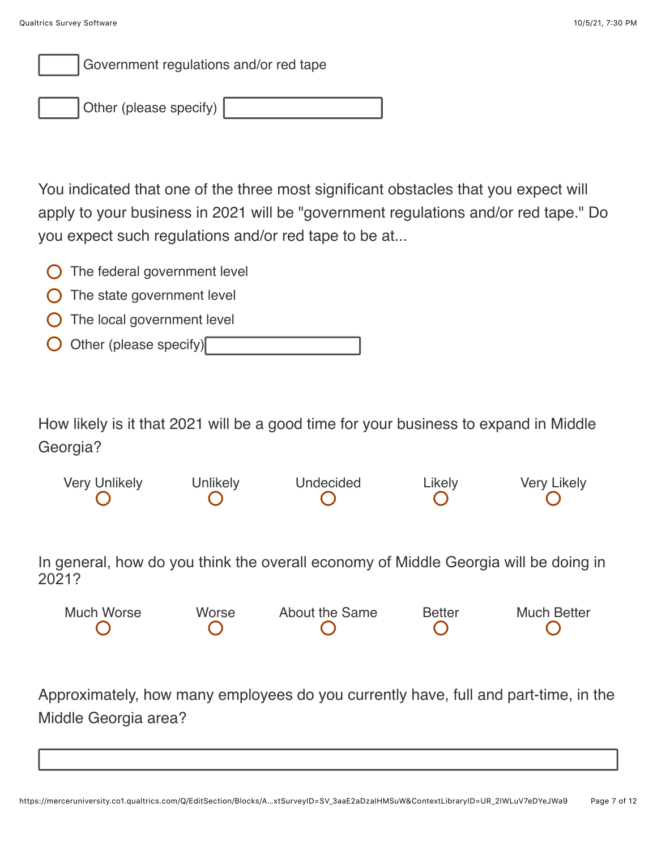

Other (please specify)

You indicated that one of the three most significant obstacles that you expect will apply to your business in 2021 will be "government regulations and/or red tape." Do you expect such regulations and/or red tape to be at...

- $\bigcirc$  The federal government level
- $\bigcirc$  The state government level
- $\bigcirc$  The local government level
- Other (please specify)

How likely is it that 2021 will be a good time for your business to expand in Middle Georgia?

Very Unlikely Unlikely Undecided Likely Very Likely

In general, how do you think the overall economy of Middle Georgia will be doing in 2021?

| Much Worse | Worse | About the Same | <b>Better</b> | <b>Much Better</b> |
|------------|-------|----------------|---------------|--------------------|
|            |       |                |               |                    |

Approximately, how many employees do you currently have, full and part-time, in the Middle Georgia area?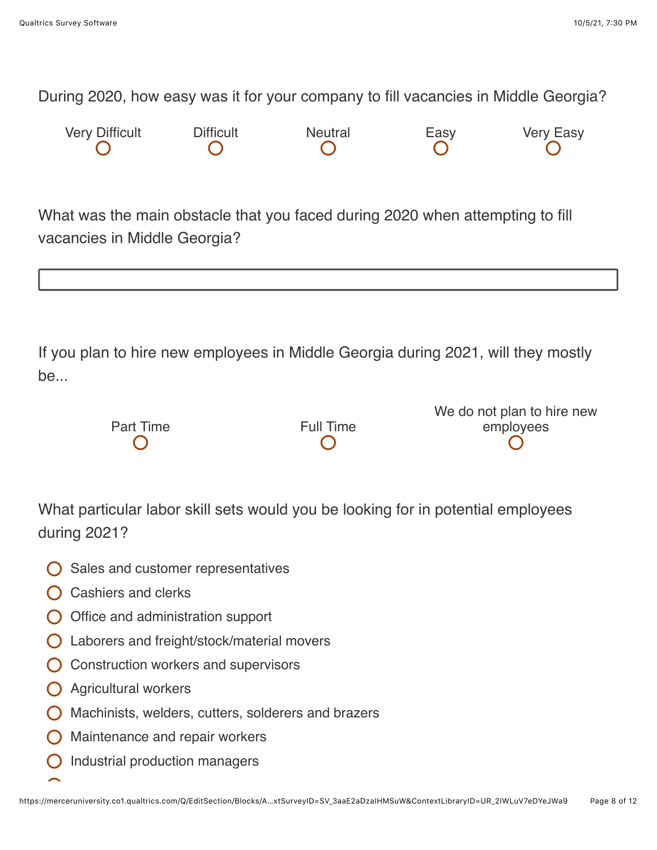During 2020, how easy was it for your company to fill vacancies in Middle Georgia?

| <b>Very Difficult</b> | <b>Difficult</b> | Neutral | Easy | <b>Very Easy</b> |
|-----------------------|------------------|---------|------|------------------|
|                       |                  |         |      |                  |

What was the main obstacle that you faced during 2020 when attempting to fill vacancies in Middle Georgia?

If you plan to hire new employees in Middle Georgia during 2021, will they mostly be...

|                  |                  | We do not plan to hire new |
|------------------|------------------|----------------------------|
| <b>Part Time</b> | <b>Full Time</b> | employees                  |
|                  |                  |                            |
|                  |                  |                            |

What particular labor skill sets would you be looking for in potential employees during 2021?

- $\bigcap$  Sales and customer representatives
- $\bigcap$  Cashiers and clerks
- $\bigcirc$  Office and administration support
- Laborers and freight/stock/material movers
- **O** Construction workers and supervisors
- **O** Agricultural workers
- $\bigcirc$  Machinists, welders, cutters, solderers and brazers
- $\bigcirc$  Maintenance and repair workers
- Industrial production managers $\overline{()}$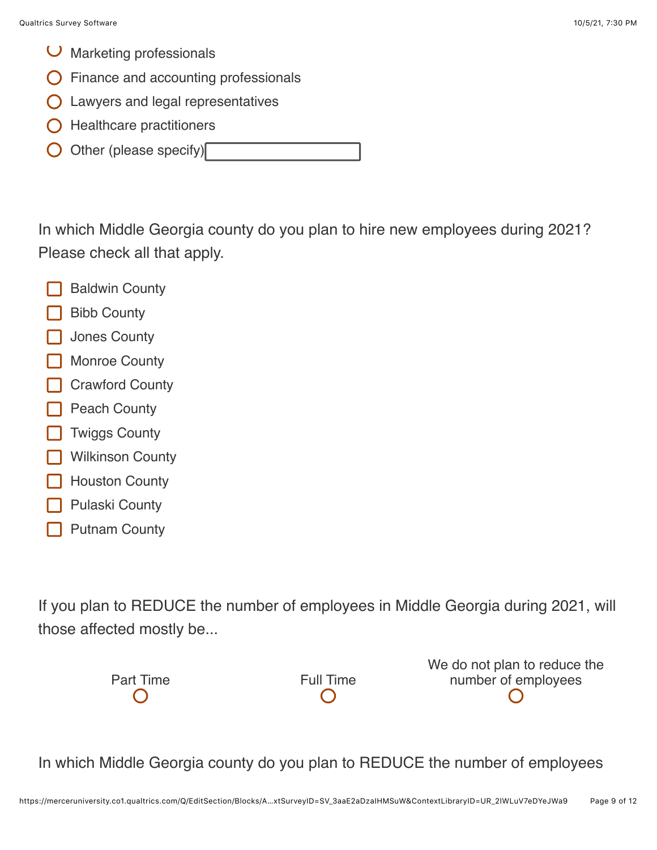- $\cup$  Marketing professionals
- Finance and accounting professionals
- **O** Lawyers and legal representatives
- $\bigcirc$  Healthcare practitioners
- Other (please specify)

In which Middle Georgia county do you plan to hire new employees during 2021? Please check all that apply.

- Baldwin County
- Bibb County
- Jones County
- Monroe County
- Crawford County
- Peach County
- Twiggs County
- Wilkinson County
- Houston County
- Pulaski County
- Putnam County

If you plan to REDUCE the number of employees in Middle Georgia during 2021, will those affected mostly be...

Part Time **Full Time** 

We do not plan to reduce the number of employees

In which Middle Georgia county do you plan to REDUCE the number of employees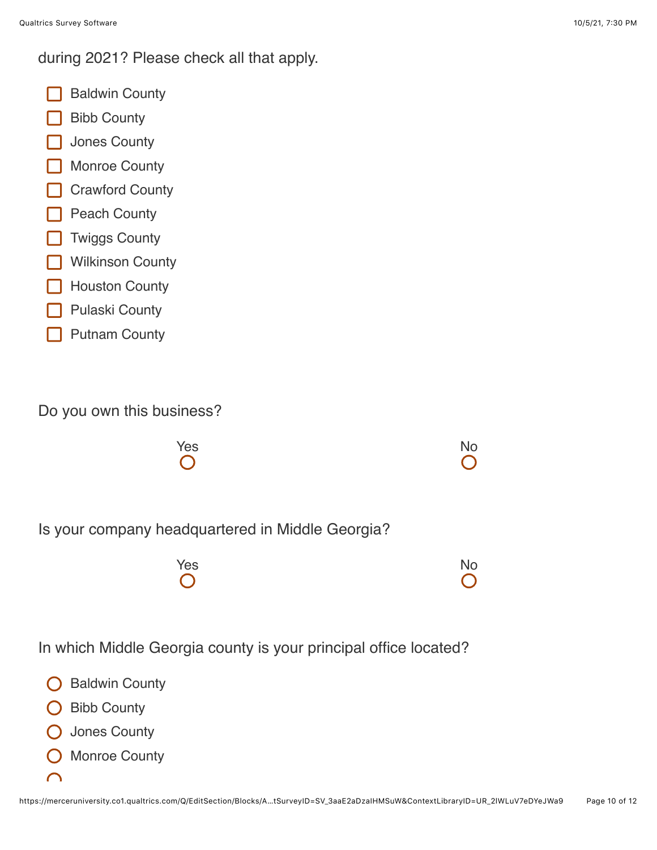during 2021? Please check all that apply.

- Baldwin County
- Bibb County
- Jones County
- Monroe County
- **Crawford County**
- **Peach County**
- **T** Twiggs County
- **Wilkinson County**
- Houston County
- Pulaski County
- Putnam County

Do you own this business?



Is your company headquartered in Middle Georgia?

| Yes        | <b>No</b>  |
|------------|------------|
| $\bigcirc$ | $\bigcirc$ |

In which Middle Georgia county is your principal office located?

- Baldwin County
- **O** Bibb County
- Jones County
- Monroe County
- $\cap$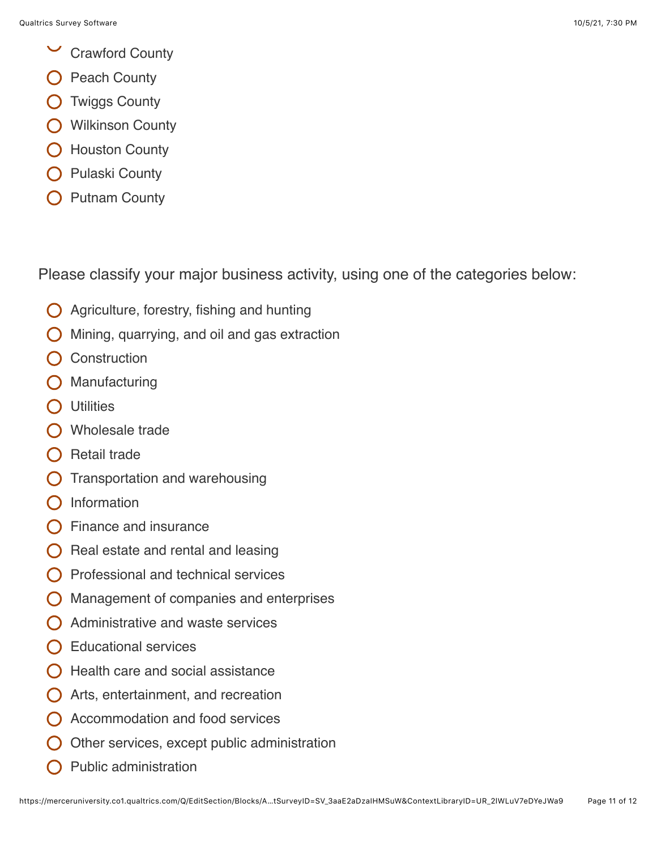- $\checkmark$ Crawford County
- Peach County
- O Twiggs County
- **O** Wilkinson County
- O Houston County
- Pulaski County
- Putnam County

Please classify your major business activity, using one of the categories below:

- $\bigcirc$  Agriculture, forestry, fishing and hunting
- Mining, quarrying, and oil and gas extraction
- **Construction**
- Manufacturing
- **O** Utilities
- O Wholesale trade
- $\bigcap$  Retail trade
- Transportation and warehousing
- Information
- Finance and insurance
- Real estate and rental and leasing
- Professional and technical services
- Management of companies and enterprises
- $\bigcap$  Administrative and waste services
- $\bigcap$  Educational services
- Health care and social assistance
- Arts, entertainment, and recreation
- Accommodation and food services
- Other services, except public administration
- Public administration